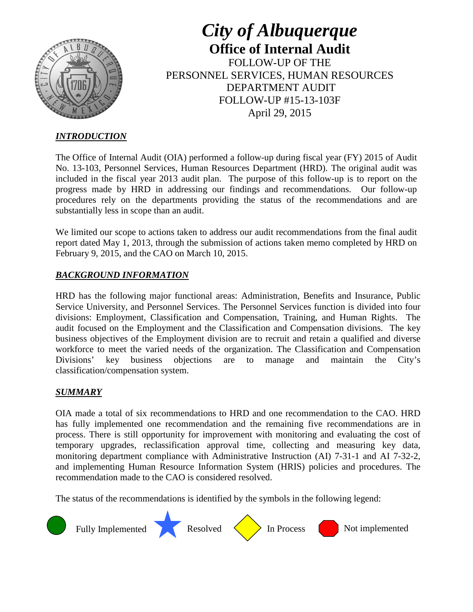

*City of Albuquerque* **Office of Internal Audit** FOLLOW-UP OF THE PERSONNEL SERVICES, HUMAN RESOURCES DEPARTMENT AUDIT FOLLOW-UP #15-13-103F April 29, 2015

## *INTRODUCTION*

The Office of Internal Audit (OIA) performed a follow-up during fiscal year (FY) 2015 of Audit No. 13-103, Personnel Services, Human Resources Department (HRD). The original audit was included in the fiscal year 2013 audit plan. The purpose of this follow-up is to report on the progress made by HRD in addressing our findings and recommendations. Our follow-up procedures rely on the departments providing the status of the recommendations and are substantially less in scope than an audit.

We limited our scope to actions taken to address our audit recommendations from the final audit report dated May 1, 2013, through the submission of actions taken memo completed by HRD on February 9, 2015, and the CAO on March 10, 2015.

### *BACKGROUND INFORMATION*

HRD has the following major functional areas: Administration, Benefits and Insurance, Public Service University, and Personnel Services. The Personnel Services function is divided into four divisions: Employment, Classification and Compensation, Training, and Human Rights. The audit focused on the Employment and the Classification and Compensation divisions. The key business objectives of the Employment division are to recruit and retain a qualified and diverse workforce to meet the varied needs of the organization. The Classification and Compensation Divisions' key business objections are to manage and maintain the City's classification/compensation system.

### *SUMMARY*

OIA made a total of six recommendations to HRD and one recommendation to the CAO. HRD has fully implemented one recommendation and the remaining five recommendations are in process. There is still opportunity for improvement with monitoring and evaluating the cost of temporary upgrades, reclassification approval time, collecting and measuring key data, monitoring department compliance with Administrative Instruction (AI) 7-31-1 and AI 7-32-2, and implementing Human Resource Information System (HRIS) policies and procedures. The recommendation made to the CAO is considered resolved.

The status of the recommendations is identified by the symbols in the following legend:

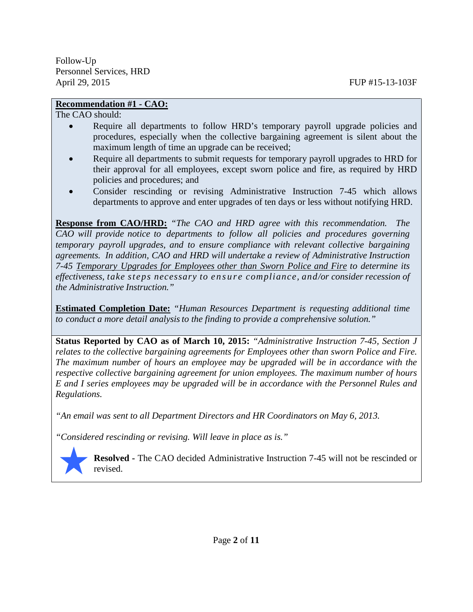## **Recommendation #1 - CAO:**

The CAO should:

- Require all departments to follow HRD's temporary payroll upgrade policies and procedures, especially when the collective bargaining agreement is silent about the maximum length of time an upgrade can be received;
- Require all departments to submit requests for temporary payroll upgrades to HRD for their approval for all employees, except sworn police and fire, as required by HRD policies and procedures; and
- Consider rescinding or revising Administrative Instruction 7-45 which allows departments to approve and enter upgrades of ten days or less without notifying HRD.

**Response from CAO/HRD:** *"The CAO and HRD agree with this recommendation. The CAO will provide notice to departments to follow all policies and procedures governing temporary payroll upgrades, and to ensure compliance with relevant collective bargaining agreements. In addition, CAO and HRD will undertake a review of Administrative Instruction 7-45 Temporary Upgrades for Employees other than Sworn Police and Fire to determine its effectiveness, take steps necessary to ensure compliance, and/or consider recession of the Administrative Instruction."*

**Estimated Completion Date:** *"Human Resources Department is requesting additional time to conduct a more detail analysisto the finding to provide a comprehensive solution."*

**Status Reported by CAO as of March 10, 2015:** *"Administrative Instruction 7-45, Section J relates to the collective bargaining agreements for Employees other than sworn Police and Fire. The maximum number of hours an employee may be upgraded will be in accordance with the respective collective bargaining agreement for union employees. The maximum number of hours E and I series employees may be upgraded will be in accordance with the Personnel Rules and Regulations.*

*"An email was sent to all Department Directors and HR Coordinators on May 6, 2013.*

*"Considered rescinding or revising. Will leave in place as is."*



**Resolved -** The CAO decided Administrative Instruction 7-45 will not be rescinded or revised.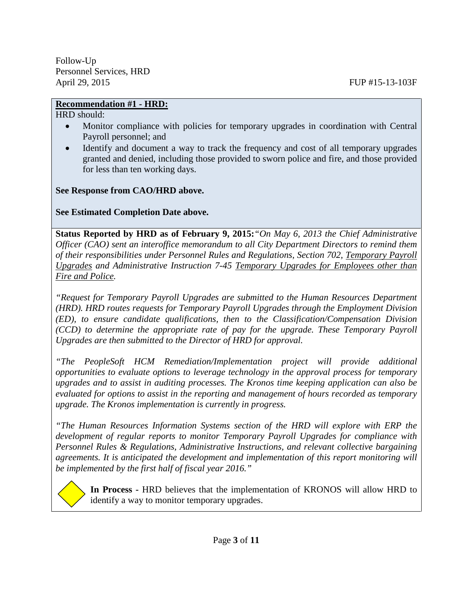# **Recommendation #1 - HRD:**

HRD should:

- Monitor compliance with policies for temporary upgrades in coordination with Central Payroll personnel; and
- Identify and document a way to track the frequency and cost of all temporary upgrades granted and denied, including those provided to sworn police and fire, and those provided for less than ten working days.

**See Response from CAO/HRD above.** 

**See Estimated Completion Date above.** 

**Status Reported by HRD as of February 9, 2015:***"On May 6, 2013 the Chief Administrative Officer (CAO) sent an interoffice memorandum to all City Department Directors to remind them of their responsibilities under Personnel Rules and Regulations, Section 702, Temporary Payroll Upgrades and Administrative Instruction 7-45 Temporary Upgrades for Employees other than Fire and Police.*

*"Request for Temporary Payroll Upgrades are submitted to the Human Resources Department (HRD). HRD routes requests for Temporary Payroll Upgrades through the Employment Division (ED), to ensure candidate qualifications, then to the Classification/Compensation Division (CCD) to determine the appropriate rate of pay for the upgrade. These Temporary Payroll Upgrades are then submitted to the Director of HRD for approval.*

*"The PeopleSoft HCM Remediation/Implementation project will provide additional opportunities to evaluate options to leverage technology in the approval process for temporary upgrades and to assist in auditing processes. The Kronos time keeping application can also be evaluated for options to assist in the reporting and management of hours recorded as temporary upgrade. The Kronos implementation is currently in progress.*

*"The Human Resources Information Systems section of the HRD will explore with ERP the development of regular reports to monitor Temporary Payroll Upgrades for compliance with Personnel Rules & Regulations, Administrative Instructions, and relevant collective bargaining agreements. It is anticipated the development and implementation of this report monitoring will be implemented by the first half of fiscal year 2016."* 

**In Process -** HRD believes that the implementation of KRONOS will allow HRD to identify a way to monitor temporary upgrades.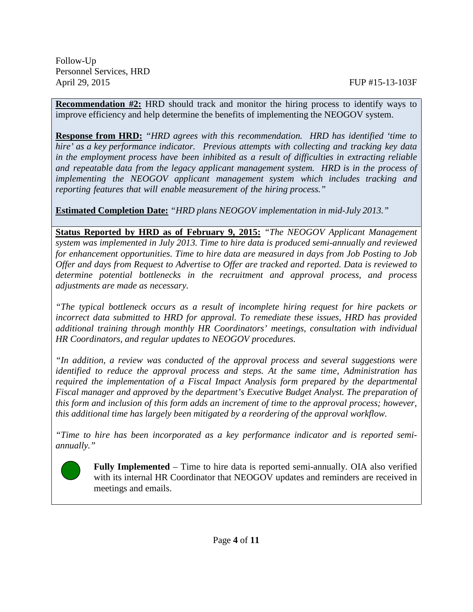**Recommendation #2:** HRD should track and monitor the hiring process to identify ways to improve efficiency and help determine the benefits of implementing the NEOGOV system.

**Response from HRD:** *"HRD agrees with this recommendation. HRD has identified 'time to hire' as a key performance indicator. Previous attempts with collecting and tracking key data in the employment process have been inhibited as a result of difficulties in extracting reliable and repeatable data from the legacy applicant management system. HRD is in the process of implementing the NEOGOV applicant management system which includes tracking and reporting features that will enable measurement of the hiring process."*

**Estimated Completion Date:** *"HRD plans NEOGOV implementation in mid-July 2013."*

**Status Reported by HRD as of February 9, 2015:** *"The NEOGOV Applicant Management system was implemented in July 2013. Time to hire data is produced semi-annually and reviewed for enhancement opportunities. Time to hire data are measured in days from Job Posting to Job Offer and days from Request to Advertise to Offer are tracked and reported. Data is reviewed to determine potential bottlenecks in the recruitment and approval process, and process adjustments are made as necessary.*

*"The typical bottleneck occurs as a result of incomplete hiring request for hire packets or incorrect data submitted to HRD for approval. To remediate these issues, HRD has provided additional training through monthly HR Coordinators' meetings, consultation with individual HR Coordinators, and regular updates to NEOGOV procedures.*

*"In addition, a review was conducted of the approval process and several suggestions were identified to reduce the approval process and steps. At the same time, Administration has required the implementation of a Fiscal Impact Analysis form prepared by the departmental Fiscal manager and approved by the department's Executive Budget Analyst. The preparation of this form and inclusion of this form adds an increment of time to the approval process; however, this additional time has largely been mitigated by a reordering of the approval workflow.*

*"Time to hire has been incorporated as a key performance indicator and is reported semiannually."*



**Fully Implemented** – Time to hire data is reported semi-annually. OIA also verified with its internal HR Coordinator that NEOGOV updates and reminders are received in meetings and emails.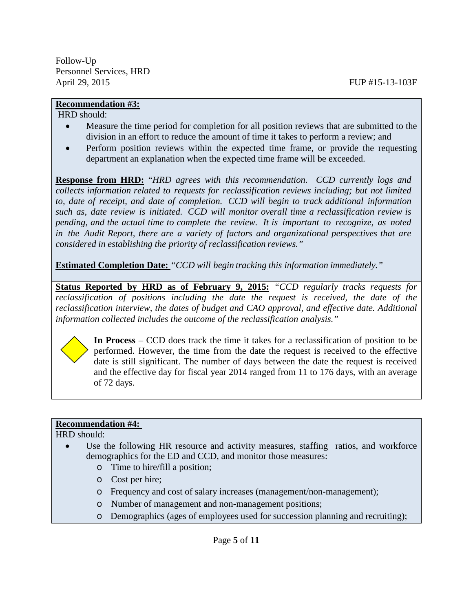#### **Recommendation #3:**

HRD should:

Follow-Up

- Measure the time period for completion for all position reviews that are submitted to the division in an effort to reduce the amount of time it takes to perform a review; and
- Perform position reviews within the expected time frame, or provide the requesting department an explanation when the expected time frame will be exceeded.

**Response from HRD:** "*HRD agrees with this recommendation. CCD currently logs and collects information related to requests for reclassification reviews including; but not limited to, date of receipt, and date of completion. CCD will begin to track additional information such as, date review is initiated. CCD will monitor overall time a reclassification review is pending, and the actual time to complete the review. It is important to recognize, as noted in the Audit Report, there are a variety of factors and organizational perspectives that are considered in establishing the priority of reclassification reviews."*

**Estimated Completion Date:** *"CCD will begin tracking this information immediately."*

**Status Reported by HRD as of February 9, 2015:** *"CCD regularly tracks requests for reclassification of positions including the date the request is received, the date of the reclassification interview, the dates of budget and CAO approval, and effective date. Additional information collected includes the outcome of the reclassification analysis."*



**In Process** – CCD does track the time it takes for a reclassification of position to be performed. However, the time from the date the request is received to the effective date is still significant. The number of days between the date the request is received and the effective day for fiscal year 2014 ranged from 11 to 176 days, with an average of 72 days.

### **Recommendation #4:**

HRD should:

- Use the following HR resource and activity measures, staffing ratios, and workforce demographics for the ED and CCD, and monitor those measures:
	- o Time to hire/fill a position;
	- o Cost per hire;
	- o Frequency and cost of salary increases (management/non-management);
	- o Number of management and non-management positions;
	- o Demographics (ages of employees used for succession planning and recruiting);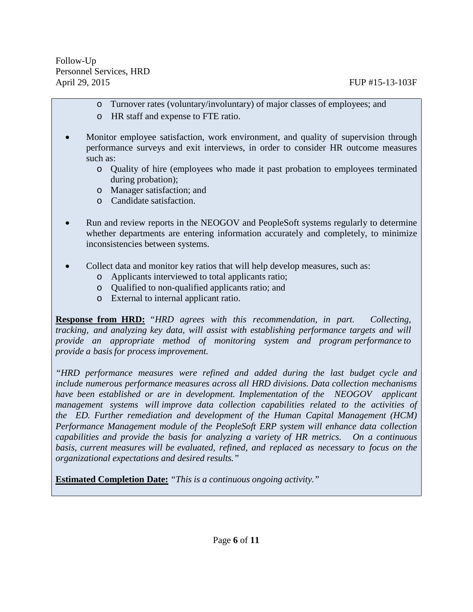- o Turnover rates (voluntary/involuntary) of major classes of employees; and
- o HR staff and expense to FTE ratio.
- Monitor employee satisfaction, work environment, and quality of supervision through performance surveys and exit interviews, in order to consider HR outcome measures such as:
	- o Quality of hire (employees who made it past probation to employees terminated during probation);
	- o Manager satisfaction; and
	- o Candidate satisfaction.
- Run and review reports in the NEOGOV and PeopleSoft systems regularly to determine whether departments are entering information accurately and completely, to minimize inconsistencies between systems.
- Collect data and monitor key ratios that will help develop measures, such as:
	- o Applicants interviewed to total applicants ratio;
	- o Qualified to non-qualified applicants ratio; and
	- o External to internal applicant ratio.

**Response from HRD:** *"HRD agrees with this recommendation, in part. Collecting, tracking, and analyzing key data, will assist with establishing performance targets and will provide an appropriate method of monitoring system and program performance to provide a basis for process improvement.*

*"HRD performance measures were refined and added during the last budget cycle and include numerous performance measures across all HRD divisions. Data collection mechanisms have been established or are in development. Implementation of the NEOGOV applicant management systems will improve data collection capabilities related to the activities of the ED. Further remediation and development of the Human Capital Management (HCM) Performance Management module of the PeopleSoft ERP system will enhance data collection capabilities and provide the basis for analyzing a variety of HR metrics. On a continuous basis, current measures will be evaluated, refined, and replaced as necessary to focus on the organizational expectations and desired results."*

**Estimated Completion Date:** *"This is a continuous ongoing activity."*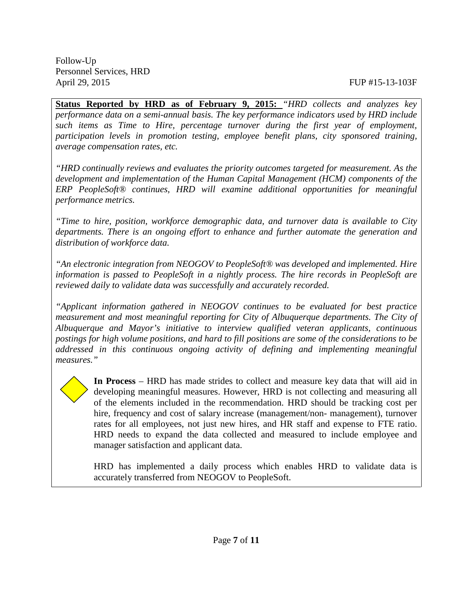**Status Reported by HRD as of February 9, 2015:** *"HRD collects and analyzes key performance data on a semi-annual basis. The key performance indicators used by HRD include such items as Time to Hire, percentage turnover during the first year of employment, participation levels in promotion testing, employee benefit plans, city sponsored training, average compensation rates, etc.*

*"HRD continually reviews and evaluates the priority outcomes targeted for measurement. As the development and implementation of the Human Capital Management (HCM) components of the ERP PeopleSoft® continues, HRD will examine additional opportunities for meaningful performance metrics.*

*"Time to hire, position, workforce demographic data, and turnover data is available to City departments. There is an ongoing effort to enhance and further automate the generation and distribution of workforce data.*

*"An electronic integration from NEOGOV to PeopleSoft® was developed and implemented. Hire information is passed to PeopleSoft in a nightly process. The hire records in PeopleSoft are reviewed daily to validate data was successfully and accurately recorded.*

*"Applicant information gathered in NEOGOV continues to be evaluated for best practice measurement and most meaningful reporting for City of Albuquerque departments. The City of Albuquerque and Mayor's initiative to interview qualified veteran applicants, continuous postings for high volume positions, and hard to fill positions are some of the considerations to be addressed in this continuous ongoing activity of defining and implementing meaningful measures."*



**In Process** – HRD has made strides to collect and measure key data that will aid in developing meaningful measures. However, HRD is not collecting and measuring all of the elements included in the recommendation. HRD should be tracking cost per hire, frequency and cost of salary increase (management/non- management), turnover rates for all employees, not just new hires, and HR staff and expense to FTE ratio. HRD needs to expand the data collected and measured to include employee and manager satisfaction and applicant data.

HRD has implemented a daily process which enables HRD to validate data is accurately transferred from NEOGOV to PeopleSoft.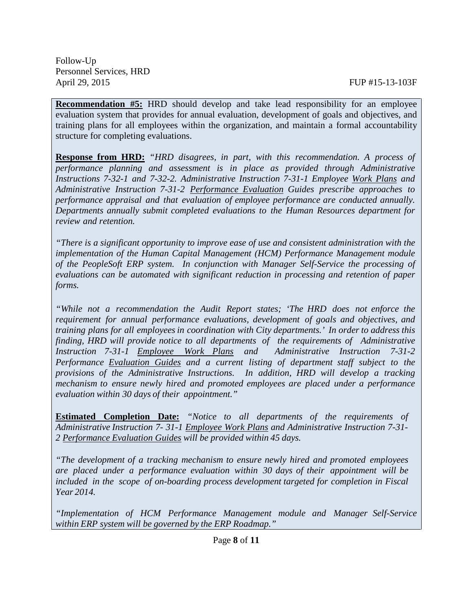**Recommendation #5:** HRD should develop and take lead responsibility for an employee evaluation system that provides for annual evaluation, development of goals and objectives, and training plans for all employees within the organization, and maintain a formal accountability structure for completing evaluations.

**Response from HRD:** *"HRD disagrees, in part, with this recommendation. A process of performance planning and assessment is in place as provided through Administrative Instructions 7-32-1 and 7-32-2. Administrative Instruction 7-31-1 Employee Work Plans and Administrative Instruction 7-31-2 Performance Evaluation Guides prescribe approaches to performance appraisal and that evaluation of employee performance are conducted annually. Departments annually submit completed evaluations to the Human Resources department for review and retention.*

*"There is a significant opportunity to improve ease of use and consistent administration with the implementation of the Human Capital Management (HCM) Performance Management module of the PeopleSoft ERP system. In conjunction with Manager Self-Service the processing of evaluations can be automated with significant reduction in processing and retention of paper forms.*

*"While not a recommendation the Audit Report states; 'The HRD does not enforce the requirement for annual performance evaluations, development of goals and objectives, and training plans for all employeesin coordination with City departments.' In order to address this finding, HRD will provide notice to all departments of the requirements of Administrative Instruction 7-31-1 Employee Work Plans and Administrative Instruction 7-31-2 Performance Evaluation Guides and a current listing of department staff subject to the provisions of the Administrative Instructions. In addition, HRD will develop a tracking mechanism to ensure newly hired and promoted employees are placed under a performance evaluation within 30 days of their appointment."*

**Estimated Completion Date:** *"Notice to all departments of the requirements of Administrative Instruction 7- 31-1 Employee Work Plans and Administrative Instruction 7-31- 2 Performance Evaluation Guides will be provided within 45 days.*

*"The development of a tracking mechanism to ensure newly hired and promoted employees are placed under a performance evaluation within 30 days of their appointment will be included in the scope of on-boarding process development targeted for completion in Fiscal Year 2014.*

*"Implementation of HCM Performance Management module and Manager Self-Service within ERP system will be governed by the ERP Roadmap."*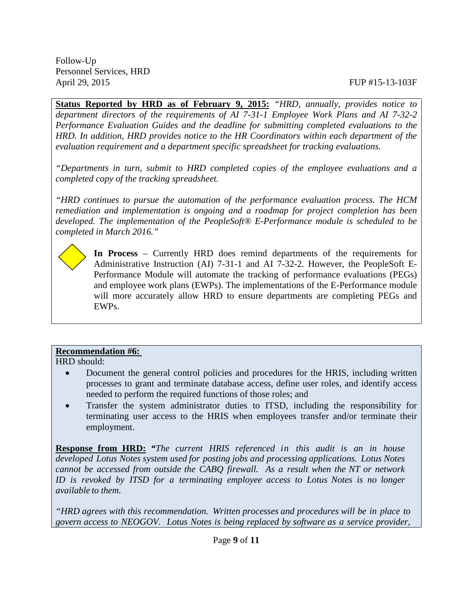**Status Reported by HRD as of February 9, 2015:** *"HRD, annually, provides notice to department directors of the requirements of AI 7-31-1 Employee Work Plans and AI 7-32-2 Performance Evaluation Guides and the deadline for submitting completed evaluations to the HRD. In addition, HRD provides notice to the HR Coordinators within each department of the evaluation requirement and a department specific spreadsheet for tracking evaluations.*

*"Departments in turn, submit to HRD completed copies of the employee evaluations and a completed copy of the tracking spreadsheet.*

*"HRD continues to pursue the automation of the performance evaluation process. The HCM remediation and implementation is ongoing and a roadmap for project completion has been developed. The implementation of the PeopleSoft® E-Performance module is scheduled to be completed in March 2016."*

**In Process** – Currently HRD does remind departments of the requirements for Administrative Instruction (AI) 7-31-1 and AI 7-32-2. However, the PeopleSoft E-Performance Module will automate the tracking of performance evaluations (PEGs) and employee work plans (EWPs). The implementations of the E-Performance module will more accurately allow HRD to ensure departments are completing PEGs and EWPs.

### **Recommendation #6:**

HRD should:

- Document the general control policies and procedures for the HRIS, including written processes to grant and terminate database access, define user roles, and identify access needed to perform the required functions of those roles; and
- Transfer the system administrator duties to ITSD, including the responsibility for terminating user access to the HRIS when employees transfer and/or terminate their employment.

**Response from HRD:** *"The current HRIS referenced in this audit is an in house developed Lotus Notes system used for posting jobs and processing applications. Lotus Notes cannot be accessed from outside the CABQ firewall. As a result when the NT or network ID is revoked by ITSD for a terminating employee access to Lotus Notes is no longer available to them.*

*"HRD agrees with this recommendation. Written processes and procedures will be in place to govern access to NEOGOV. Lotus Notes is being replaced by software as a service provider,*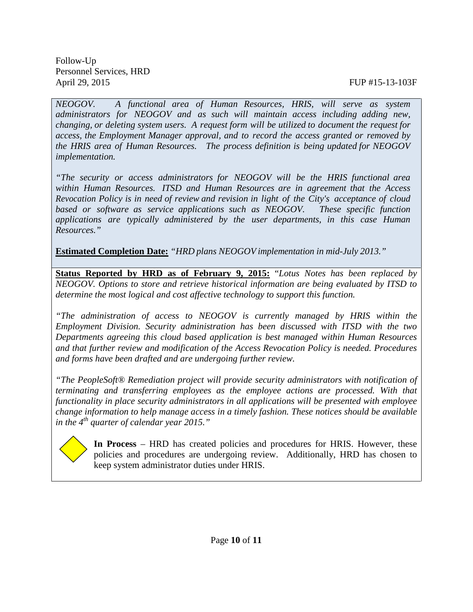*NEOGOV. A functional area of Human Resources, HRIS, will serve as system administrators for NEOGOV and as such will maintain access including adding new, changing, or deleting system users. A request form will be utilized to document the request for access, the Employment Manager approval, and to record the access granted or removed by the HRIS area of Human Resources. The process definition is being updated for NEOGOV implementation.*

*"The security or access administrators for NEOGOV will be the HRIS functional area within Human Resources. ITSD and Human Resources are in agreement that the Access Revocation Policy is in need of review and revision in light of the City's acceptance of cloud based or software as service applications such as NEOGOV. These specific function applications are typically administered by the user departments, in this case Human Resources."*

**Estimated Completion Date:** *"HRD plans NEOGOV implementation in mid-July 2013."*

**Status Reported by HRD as of February 9, 2015:** "*Lotus Notes has been replaced by NEOGOV. Options to store and retrieve historical information are being evaluated by ITSD to determine the most logical and cost affective technology to support this function.*

*"The administration of access to NEOGOV is currently managed by HRIS within the Employment Division. Security administration has been discussed with ITSD with the two Departments agreeing this cloud based application is best managed within Human Resources and that further review and modification of the Access Revocation Policy is needed. Procedures and forms have been drafted and are undergoing further review.*

*"The PeopleSoft® Remediation project will provide security administrators with notification of terminating and transferring employees as the employee actions are processed. With that functionality in place security administrators in all applications will be presented with employee change information to help manage access in a timely fashion. These notices should be available in the 4th quarter of calendar year 2015."*



**In Process** – HRD has created policies and procedures for HRIS. However, these policies and procedures are undergoing review. Additionally, HRD has chosen to keep system administrator duties under HRIS.